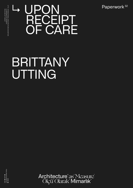Paperwork<sup>32</sup>

## BRITTANY UTTING

DHO ● ASXI ●<br>TZA∃XHN1JONOITIA∀d<br>● AMAM PAVILIONOFTURKEY21 ● IKSV ● ORGWWW ●

 PAVILION OF TURKEY LA BIENNALE DI VENEZIA 17TH INTERNATIONAL ARCHITECTURE EXHIBITION

17TH INTERNATIONAL ARCHITECTURE EXHIBITION<br>LA BIENNALE DI VENEZIA<br>PAVILION OF TURKEY

Architecture<sup>"</sup>as<sup>\*</sup> Measure<sup>"</sup><br>Ölçü<sup>\*</sup> Olarak<sup>\*</sup> Mimarlık<sup>\*</sup>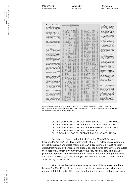Mrs. K has been taken to the emergency room of a re-<br>nowned hospital on Manhathowned hospital of Malina-<br>tan's Upper East Side. The<br>doctors "work her up." More<br>than \$200 worth of blood tests<br>me ordered ("amer m anar 3200 world of blood tests<br>are ordered ("emer rm lab,"<br>"lab serology out"), \$232<br>worth of X-rays taken, \$97.50 worth of X-rays taken, \$97.50<br>worth of drugs administered. 1<br>mever saw Mrs. K<br>mever saw Mrs. K<br>wasn't in my hospital, I don't<br>know her medical history. But<br>know her medical history. But<br>struct from the noptial offl<br>what is

JOHN K

 $\overline{QATE}$ 

Mrs. K\_\_ has been moved<br>to the Intensive Care Unit<br>("room ICU"). It roots \$500 a<br>day to stay in the ICU, base<br>rate. California has the highest average ICU rates. California has the highest<br>try: 5632 a day. In Mississippi, monitor ("inhal blood gas<br>mont") is being used to keep a close check on the amount of<br>oxygen in her blood. Without the attention she is receiving<br>in the ICU, Mrs. K<br>might already be dead.

Mrs.  $K_{\perp}$  has been running<br>a high fever. The doctors have<br>sent cultures of her blood,<br>urine, and sputum to the lab to<br>find out why. She is put on<br>grantamic ("lab gentamyicn"<br>toug"), a powerful antibiotic.<br>Such strong

It is Mrs.  $K_{\text{max}}$ 's fifth day at<br>the hospital, and she is slipping<br>closer to death: her kmgs begin<br>to fail. She is put on a respirator<br>("hinlal respirator"), which<br>cousts \$119 a day to rent and<br>perate. A hospital team

BLUE CROSS STO 21  Mrs. K\_s<br>first week in In-<br>tensive Care ends in a flourish of blood tests. She has five<br>cliem-8s ("lab chem-8") -<br>tests that measure the levels of<br>sodium, potasium, and six<br>other chemicals in her blood.<br>The hospital charg expect unrelated deficit-producing hospital operations." The<br>hands of Internal Medicine esti-<br>mates that the number of clinical lab tests being done is rising<br>15 percent a year.

Mrs. K has started peri-

Mrs. K\_\_\_ has been put in a<br>vest restraint. Restraints are<br>used in Intensive Care to keep<br>patients from thrashing about<br>or pulling their tubes out.<br>Many ICU patients developed<br>what is called "ICU psycho-<br>sise". They becom

Image: © 1990 Edward R. Tufte, Envisioning Information, pp 56-57, courtesy of Graphics Press LLC. Redrawn from David Hellerstein, "The Slow, Costly Death of Mrs. K\_\_." Harper's Magazine 268 (March 1984), 84-89. Commentary text © David J. Hellerstein, 2021.

> 09/23. ROOM ICU 500.00. LAB AUTO BLOOD CT 1402101. 17.00... 09/24. ROOM ICU 500.00. LAB SALICYLATE 1401050. 40.00.... 09/25. ROOM ICU 500.00. LAB ACT PAR THROM 1404001. 27.00… 09/26. ROOM ICU 500.00. LAB CHEM-8 1401111. 31.00… 09/27. ROOM ICU 500.00. OPER OP RM 150 1001005. 520.00… 1

Published by David Hellerstein, M.D. in the March 1984 issue of Harper›s Magazine, "The Slow, Costly Death of Mrs. K\_" describes a woman's illness through an annotated medical bill. An excruciatingly exhaustive list of dates, treatments, and charges, the closely packed figures of the invoice tabulate the costs of care from a woman's twenty-five-day hospital stay. This data set produces in precise detail the summation of tests, medicine, equipment, labor, and space for Mrs. K\_\_'s care, adding up to a final bill for \$47,311.20 on October 18th, the day of her death.

What do we think of when we imagine the architectures of health and hospice? In Mrs. K\_\_'s bill, the only reference to her environment is the daily charge of \$500.00 for her ICU room. Punctuating the endless list of blood tests,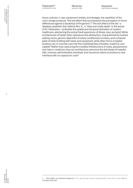Paperwork<sup>32</sup> UPON RECEIPT OF CARE Words by: BRITTANY UTTING

tissue cultures, x-rays, equipment rentals, and dosages, the repetition of the room charge produces "the low affect that accompanies the perception of minor differences against a backdrop of the generic".2 The dull affect of the list—a deadpan aesthetic that reflects Mrs. K\_\_'s "slow and costly death" in the words of Dr. Hellerstein—embodies the spatial and temporal alienation of modern healthcare, abstracting the actual lived experience of illness, loss, and grief. While architectures of health often reproduce this abstraction, characterized by hushed waiting rooms, generic labyrinths of overly conditioned corridors, and curtained grids of beds bristling with tubes and equipment, what other forms of spatial practice can re-inscribe care into this mystifying flow of bodies, medicine, and capital? Rather than obscuring the invisible infrastructure of costs, assessments, and risks in medicine, how can architecture overcome the dull dread of hospital bills, invoices, administrative overhead, and insurance claims to produce a new interface with our spaces for care?

<sup>2</sup> Sianne Ngai, "Our Aesthetic Categories," PLMA, Special Topic: Literary Criticism for the Twenty-First Century 125, no. 4 (October 2010), 950.